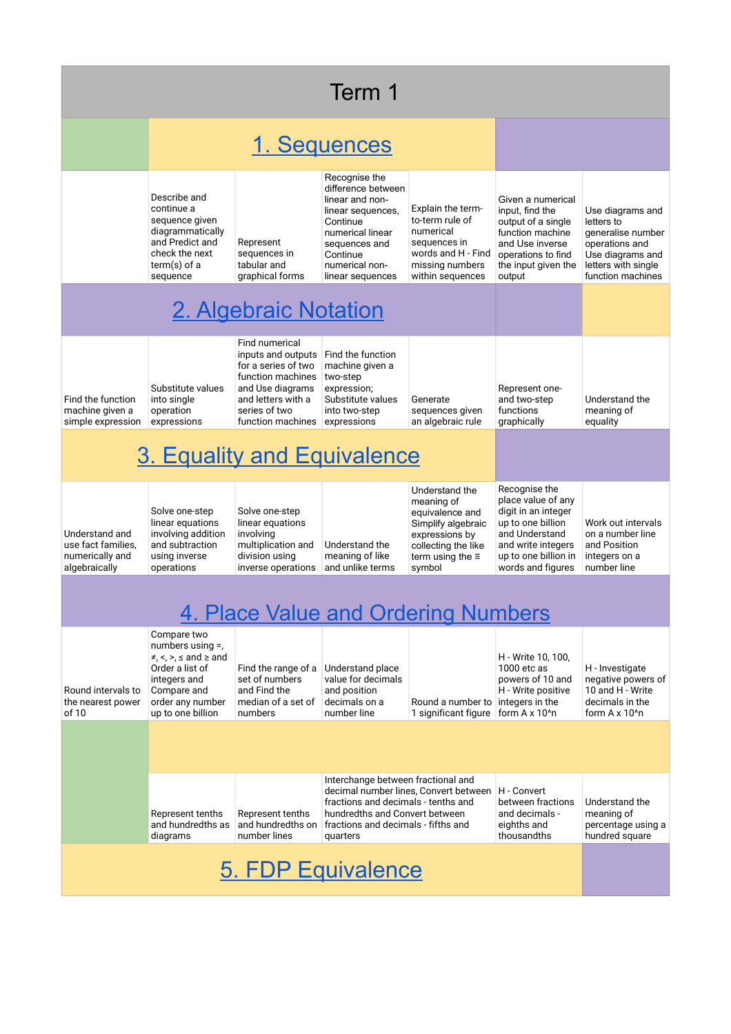| Term 1                                                                   |                                                                                                                                                                                 |                                                                                                                                                                  |                                                                                                                                                                                                         |                                                                                                                                                     |                                                                                                                                                                      |                                                                                                                                       |  |  |
|--------------------------------------------------------------------------|---------------------------------------------------------------------------------------------------------------------------------------------------------------------------------|------------------------------------------------------------------------------------------------------------------------------------------------------------------|---------------------------------------------------------------------------------------------------------------------------------------------------------------------------------------------------------|-----------------------------------------------------------------------------------------------------------------------------------------------------|----------------------------------------------------------------------------------------------------------------------------------------------------------------------|---------------------------------------------------------------------------------------------------------------------------------------|--|--|
|                                                                          |                                                                                                                                                                                 | 1. Sequences                                                                                                                                                     |                                                                                                                                                                                                         |                                                                                                                                                     |                                                                                                                                                                      |                                                                                                                                       |  |  |
|                                                                          | Describe and<br>continue a<br>sequence given<br>diagrammatically<br>and Predict and<br>check the next<br>$term(s)$ of a<br>sequence                                             | Represent<br>sequences in<br>tabular and<br>graphical forms                                                                                                      | Recognise the<br>difference between<br>linear and non-<br>linear sequences,<br>Continue<br>numerical linear<br>sequences and<br>Continue<br>numerical non-<br>linear sequences                          | Explain the term-<br>to-term rule of<br>numerical<br>sequences in<br>words and H - Find<br>missing numbers<br>within sequences                      | Given a numerical<br>input, find the<br>output of a single<br>function machine<br>and Use inverse<br>operations to find<br>the input given the<br>output             | Use diagrams and<br>letters to<br>generalise number<br>operations and<br>Use diagrams and<br>letters with single<br>function machines |  |  |
|                                                                          | 2. Algebraic Notation                                                                                                                                                           |                                                                                                                                                                  |                                                                                                                                                                                                         |                                                                                                                                                     |                                                                                                                                                                      |                                                                                                                                       |  |  |
| Find the function<br>machine given a<br>simple expression                | Substitute values<br>into single<br>operation<br>expressions                                                                                                                    | Find numerical<br>inputs and outputs<br>for a series of two<br>function machines<br>and Use diagrams<br>and letters with a<br>series of two<br>function machines | Find the function<br>machine given a<br>two-step<br>expression;<br>Substitute values<br>into two-step<br>expressions                                                                                    | Generate<br>sequences given<br>an algebraic rule                                                                                                    | Represent one-<br>and two-step<br>functions<br>graphically                                                                                                           | Understand the<br>meaning of<br>equality                                                                                              |  |  |
| 3. Equality and Equivalence                                              |                                                                                                                                                                                 |                                                                                                                                                                  |                                                                                                                                                                                                         |                                                                                                                                                     |                                                                                                                                                                      |                                                                                                                                       |  |  |
| Understand and<br>use fact families,<br>numerically and<br>algebraically | Solve one-step<br>linear equations<br>involving addition<br>and subtraction<br>using inverse<br>operations                                                                      | Solve one-step<br>linear equations<br>involving<br>multiplication and<br>division using<br>inverse operations                                                    | Understand the<br>meaning of like<br>and unlike terms                                                                                                                                                   | Understand the<br>meaning of<br>equivalence and<br>Simplify algebraic<br>expressions by<br>collecting the like<br>term using the $\equiv$<br>symbol | Recognise the<br>place value of any<br>digit in an integer<br>up to one billion<br>and Understand<br>and write integers<br>up to one billion in<br>words and figures | Work out intervals<br>on a number line<br>and Position<br>integers on a<br>number line                                                |  |  |
| 4. Place Value and Ordering Numbers                                      |                                                                                                                                                                                 |                                                                                                                                                                  |                                                                                                                                                                                                         |                                                                                                                                                     |                                                                                                                                                                      |                                                                                                                                       |  |  |
| Round intervals to<br>the nearest power<br>of 10                         | Compare two<br>numbers using $=$ ,<br>$\neq$ , $\lt$ , $\gt$ , $\leq$ and $\geq$ and<br>Order a list of<br>integers and<br>Compare and<br>order any number<br>up to one billion | Find the range of a<br>set of numbers<br>and Find the<br>median of a set of<br>numbers                                                                           | Understand place<br>value for decimals<br>and position<br>decimals on a<br>number line                                                                                                                  | Round a number to<br>1 significant figure                                                                                                           | H - Write 10, 100,<br>1000 etc as<br>powers of 10 and<br>H - Write positive<br>integers in the<br>form A x 10 <sup>1</sup> n                                         | H - Investigate<br>negative powers of<br>10 and H - Write<br>decimals in the<br>form $A \times 10^n$ n                                |  |  |
|                                                                          |                                                                                                                                                                                 |                                                                                                                                                                  |                                                                                                                                                                                                         |                                                                                                                                                     |                                                                                                                                                                      |                                                                                                                                       |  |  |
|                                                                          | Represent tenths<br>and hundredths as<br>diagrams                                                                                                                               | Represent tenths<br>and hundredths on<br>number lines                                                                                                            | Interchange between fractional and<br>decimal number lines, Convert between<br>fractions and decimals - tenths and<br>hundredths and Convert between<br>fractions and decimals - fifths and<br>quarters |                                                                                                                                                     | H - Convert<br>between fractions<br>and decimals -<br>eighths and<br>thousandths                                                                                     | Understand the<br>meaning of<br>percentage using a<br>hundred square                                                                  |  |  |
| 5. FDP Equivalence                                                       |                                                                                                                                                                                 |                                                                                                                                                                  |                                                                                                                                                                                                         |                                                                                                                                                     |                                                                                                                                                                      |                                                                                                                                       |  |  |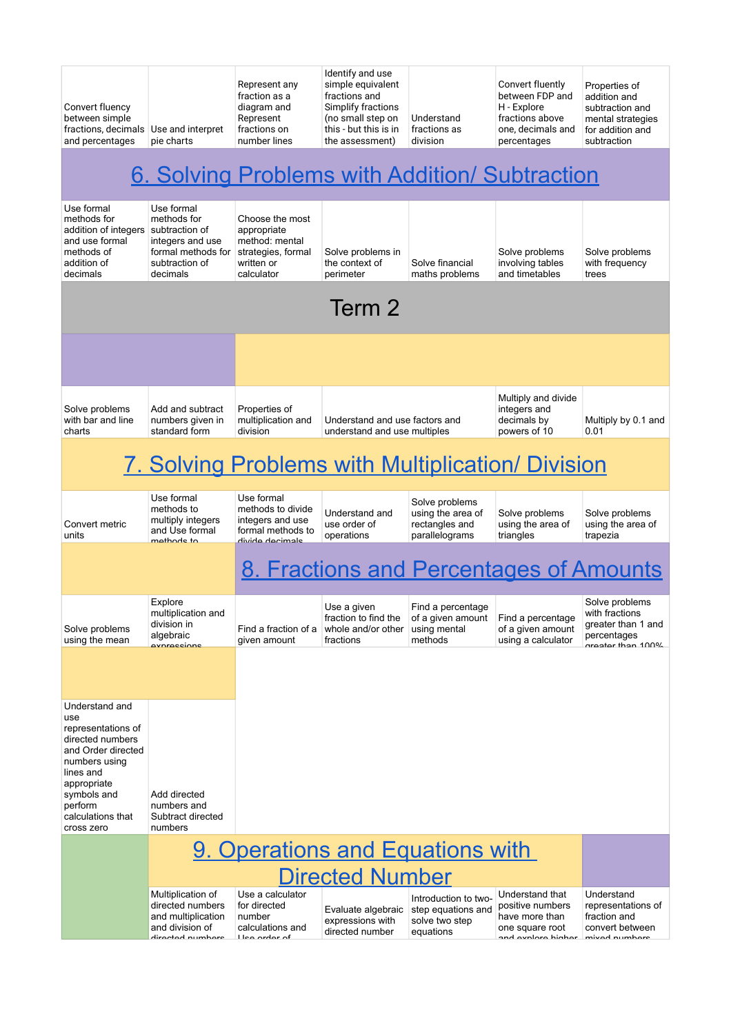| Convert fluency<br>between simple<br>fractions, decimals Use and interpret<br>and percentages                                                                                                   | pie charts                                                                                                          | Represent any<br>fraction as a<br>diagram and<br>Represent<br>fractions on<br>number lines         | Identify and use<br>simple equivalent<br>fractions and<br>Simplify fractions<br>(no small step on<br>this - but this is in<br>the assessment) | Understand<br>fractions as<br>division                                    | Convert fluently<br>between FDP and<br>H - Explore<br>fractions above<br>one, decimals and<br>percentages | Properties of<br>addition and<br>subtraction and<br>mental strategies<br>for addition and<br>subtraction |  |
|-------------------------------------------------------------------------------------------------------------------------------------------------------------------------------------------------|---------------------------------------------------------------------------------------------------------------------|----------------------------------------------------------------------------------------------------|-----------------------------------------------------------------------------------------------------------------------------------------------|---------------------------------------------------------------------------|-----------------------------------------------------------------------------------------------------------|----------------------------------------------------------------------------------------------------------|--|
|                                                                                                                                                                                                 |                                                                                                                     |                                                                                                    |                                                                                                                                               |                                                                           | 6. Solving Problems with Addition/ Subtraction                                                            |                                                                                                          |  |
| Use formal<br>methods for<br>addition of integers<br>and use formal<br>methods of<br>addition of<br>decimals                                                                                    | Use formal<br>methods for<br>subtraction of<br>integers and use<br>formal methods for<br>subtraction of<br>decimals | Choose the most<br>appropriate<br>method: mental<br>strategies, formal<br>written or<br>calculator | Solve problems in<br>the context of<br>perimeter                                                                                              | Solve financial<br>maths problems                                         | Solve problems<br>involving tables<br>and timetables                                                      | Solve problems<br>with frequency<br>trees                                                                |  |
|                                                                                                                                                                                                 |                                                                                                                     |                                                                                                    | Term 2                                                                                                                                        |                                                                           |                                                                                                           |                                                                                                          |  |
|                                                                                                                                                                                                 |                                                                                                                     |                                                                                                    |                                                                                                                                               |                                                                           |                                                                                                           |                                                                                                          |  |
| Solve problems<br>with bar and line<br>charts                                                                                                                                                   | Add and subtract<br>numbers given in<br>standard form                                                               | Properties of<br>multiplication and<br>division                                                    | Understand and use factors and<br>understand and use multiples                                                                                |                                                                           | Multiply and divide<br>integers and<br>decimals by<br>powers of 10                                        | Multiply by 0.1 and<br>0.01                                                                              |  |
| <u>7. Solving Problems with Multiplication/ Division</u>                                                                                                                                        |                                                                                                                     |                                                                                                    |                                                                                                                                               |                                                                           |                                                                                                           |                                                                                                          |  |
| Convert metric<br>units                                                                                                                                                                         | Use formal<br>methods to<br>multiply integers<br>and Use formal<br>mathode to                                       | Use formal<br>methods to divide<br>integers and use<br>formal methods to<br>divida dacimale        | Understand and<br>use order of<br>operations                                                                                                  | Solve problems<br>using the area of<br>rectangles and<br>parallelograms   | Solve problems<br>using the area of<br>triangles                                                          | Solve problems<br>using the area of<br>trapezia                                                          |  |
|                                                                                                                                                                                                 | 8. Fractions and Percentages of Amounts                                                                             |                                                                                                    |                                                                                                                                               |                                                                           |                                                                                                           |                                                                                                          |  |
| Solve problems<br>using the mean                                                                                                                                                                | Explore<br>multiplication and<br>division in<br>algebraic<br><u>avnraccinne</u>                                     | Find a fraction of a<br>given amount                                                               | Use a given<br>fraction to find the<br>whole and/or other<br>fractions                                                                        | Find a percentage<br>of a given amount<br>using mental<br>methods         | Find a percentage<br>of a given amount<br>using a calculator                                              | Solve problems<br>with fractions<br>greater than 1 and<br>percentages<br>araatar than 100%               |  |
|                                                                                                                                                                                                 |                                                                                                                     |                                                                                                    |                                                                                                                                               |                                                                           |                                                                                                           |                                                                                                          |  |
| Understand and<br>use<br>representations of<br>directed numbers<br>and Order directed<br>numbers using<br>lines and<br>appropriate<br>symbols and<br>perform<br>calculations that<br>cross zero | Add directed<br>numbers and<br>Subtract directed<br>numbers                                                         |                                                                                                    |                                                                                                                                               |                                                                           |                                                                                                           |                                                                                                          |  |
|                                                                                                                                                                                                 |                                                                                                                     | 9. Operations and Equations with                                                                   |                                                                                                                                               |                                                                           |                                                                                                           |                                                                                                          |  |
|                                                                                                                                                                                                 |                                                                                                                     |                                                                                                    | <b>Directed Number</b>                                                                                                                        |                                                                           |                                                                                                           |                                                                                                          |  |
|                                                                                                                                                                                                 | Multiplication of<br>directed numbers<br>and multiplication<br>and division of<br>diractad numhare                  | Use a calculator<br>for directed<br>number<br>calculations and<br>Llea ardar af                    | Evaluate algebraic<br>expressions with<br>directed number                                                                                     | Introduction to two-<br>step equations and<br>solve two step<br>equations | Understand that<br>positive numbers<br>have more than<br>one square root<br>and avnlora highar            | Understand<br>representations of<br>fraction and<br>convert between<br>mived numbers                     |  |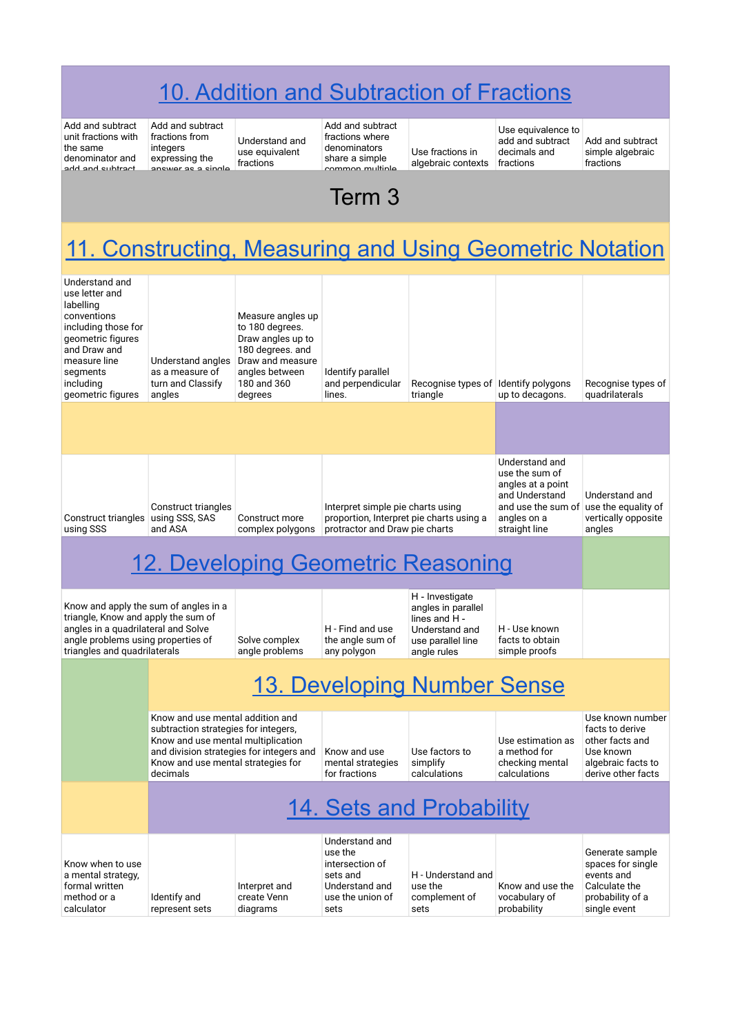## [10. Addition and Subtraction of Fractions](https://drive.google.com/drive/folders/1Cb257BX7kBErV99RGYo7Sp2VdcxbAU_m)

Add and subtract unit fractions with the same denominator and add and subtract

Add and subtract fractions from integers expressing the anowar a

Understand and use equivalent fractions

Add and subtract fractions where denominators share a simple common multiple

Use fractions in algebraic contexts

Use equivalence to add and subtract Add and subtract decimals and fractions

simple algebraic fractions

## $T_{\alpha r}$   $\alpha$ Term 3

## [11. Constructing, Measuring and Using Geometric Notation](https://drive.google.com/drive/folders/1NnCNa81PkNiikmraYQ3me0LgNbH5IBlD)

| Understand and<br>use letter and<br>labelling<br>conventions<br>including those for<br>geometric figures<br>and Draw and<br>measure line<br>segments<br>including<br>geometric figures                       | Understand angles<br>as a measure of<br>turn and Classify<br>angles | Measure angles up<br>to 180 degrees.<br>Draw angles up to<br>180 degrees. and<br>Draw and measure<br>angles between<br>180 and 360<br>degrees | Identify parallel<br>and perpendicular<br>lines.                                                                | Recognise types of Identify polygons<br>triangle                                                             | up to decagons.                                                                                                               | Recognise types of<br>quadrilaterals                                                                            |  |  |
|--------------------------------------------------------------------------------------------------------------------------------------------------------------------------------------------------------------|---------------------------------------------------------------------|-----------------------------------------------------------------------------------------------------------------------------------------------|-----------------------------------------------------------------------------------------------------------------|--------------------------------------------------------------------------------------------------------------|-------------------------------------------------------------------------------------------------------------------------------|-----------------------------------------------------------------------------------------------------------------|--|--|
|                                                                                                                                                                                                              |                                                                     |                                                                                                                                               |                                                                                                                 |                                                                                                              |                                                                                                                               |                                                                                                                 |  |  |
| Construct triangles<br>using SSS                                                                                                                                                                             | Construct triangles<br>using SSS, SAS<br>and ASA                    | Construct more<br>complex polygons                                                                                                            | Interpret simple pie charts using<br>proportion, Interpret pie charts using a<br>protractor and Draw pie charts |                                                                                                              | Understand and<br>use the sum of<br>angles at a point<br>and Understand<br>and use the sum of<br>angles on a<br>straight line | Understand and<br>use the equality of<br>vertically opposite<br>angles                                          |  |  |
|                                                                                                                                                                                                              | 12. Developing Geometric Reasoning                                  |                                                                                                                                               |                                                                                                                 |                                                                                                              |                                                                                                                               |                                                                                                                 |  |  |
| Know and apply the sum of angles in a<br>triangle, Know and apply the sum of<br>angles in a quadrilateral and Solve<br>angle problems using properties of<br>Solve complex<br>triangles and quadrilaterals   |                                                                     | angle problems                                                                                                                                | H - Find and use<br>the angle sum of<br>any polygon                                                             | H - Investigate<br>angles in parallel<br>lines and H -<br>Understand and<br>use parallel line<br>angle rules | H - Use known<br>facts to obtain<br>simple proofs                                                                             |                                                                                                                 |  |  |
|                                                                                                                                                                                                              |                                                                     |                                                                                                                                               |                                                                                                                 | 13. Developing Number Sense                                                                                  |                                                                                                                               |                                                                                                                 |  |  |
| Know and use mental addition and<br>subtraction strategies for integers,<br>Know and use mental multiplication<br>and division strategies for integers and<br>Know and use mental strategies for<br>decimals |                                                                     |                                                                                                                                               | Know and use<br>mental strategies<br>for fractions                                                              | Use factors to<br>simplify<br>calculations                                                                   | Use estimation as<br>a method for<br>checking mental<br>calculations                                                          | Use known number<br>facts to derive<br>other facts and<br>Use known<br>algebraic facts to<br>derive other facts |  |  |
|                                                                                                                                                                                                              |                                                                     |                                                                                                                                               |                                                                                                                 |                                                                                                              |                                                                                                                               |                                                                                                                 |  |  |
| Know when to use<br>a mental strategy,<br>formal written<br>method or a<br>calculator                                                                                                                        | Identify and<br>represent sets                                      | Interpret and<br>create Venn<br>diagrams                                                                                                      | Understand and<br>use the<br>intersection of<br>sets and<br>Understand and<br>use the union of<br>sets          | H - Understand and<br>use the<br>complement of<br>sets                                                       | Know and use the<br>vocabulary of<br>probability                                                                              | Generate sample<br>spaces for single<br>events and<br>Calculate the<br>probability of a<br>single event         |  |  |